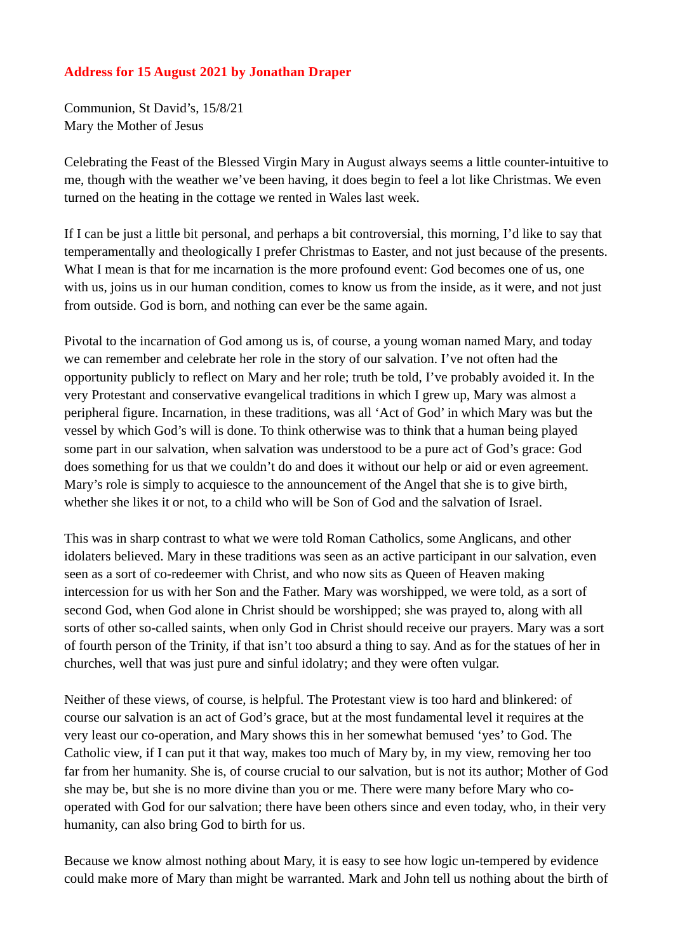## **Address for 15 August 2021 by Jonathan Draper**

Communion, St David's, 15/8/21 Mary the Mother of Jesus

Celebrating the Feast of the Blessed Virgin Mary in August always seems a little counter-intuitive to me, though with the weather we've been having, it does begin to feel a lot like Christmas. We even turned on the heating in the cottage we rented in Wales last week.

If I can be just a little bit personal, and perhaps a bit controversial, this morning, I'd like to say that temperamentally and theologically I prefer Christmas to Easter, and not just because of the presents. What I mean is that for me incarnation is the more profound event: God becomes one of us, one with us, joins us in our human condition, comes to know us from the inside, as it were, and not just from outside. God is born, and nothing can ever be the same again.

Pivotal to the incarnation of God among us is, of course, a young woman named Mary, and today we can remember and celebrate her role in the story of our salvation. I've not often had the opportunity publicly to reflect on Mary and her role; truth be told, I've probably avoided it. In the very Protestant and conservative evangelical traditions in which I grew up, Mary was almost a peripheral figure. Incarnation, in these traditions, was all 'Act of God' in which Mary was but the vessel by which God's will is done. To think otherwise was to think that a human being played some part in our salvation, when salvation was understood to be a pure act of God's grace: God does something for us that we couldn't do and does it without our help or aid or even agreement. Mary's role is simply to acquiesce to the announcement of the Angel that she is to give birth, whether she likes it or not, to a child who will be Son of God and the salvation of Israel.

This was in sharp contrast to what we were told Roman Catholics, some Anglicans, and other idolaters believed. Mary in these traditions was seen as an active participant in our salvation, even seen as a sort of co-redeemer with Christ, and who now sits as Queen of Heaven making intercession for us with her Son and the Father. Mary was worshipped, we were told, as a sort of second God, when God alone in Christ should be worshipped; she was prayed to, along with all sorts of other so-called saints, when only God in Christ should receive our prayers. Mary was a sort of fourth person of the Trinity, if that isn't too absurd a thing to say. And as for the statues of her in churches, well that was just pure and sinful idolatry; and they were often vulgar.

Neither of these views, of course, is helpful. The Protestant view is too hard and blinkered: of course our salvation is an act of God's grace, but at the most fundamental level it requires at the very least our co-operation, and Mary shows this in her somewhat bemused 'yes' to God. The Catholic view, if I can put it that way, makes too much of Mary by, in my view, removing her too far from her humanity. She is, of course crucial to our salvation, but is not its author; Mother of God she may be, but she is no more divine than you or me. There were many before Mary who cooperated with God for our salvation; there have been others since and even today, who, in their very humanity, can also bring God to birth for us.

Because we know almost nothing about Mary, it is easy to see how logic un-tempered by evidence could make more of Mary than might be warranted. Mark and John tell us nothing about the birth of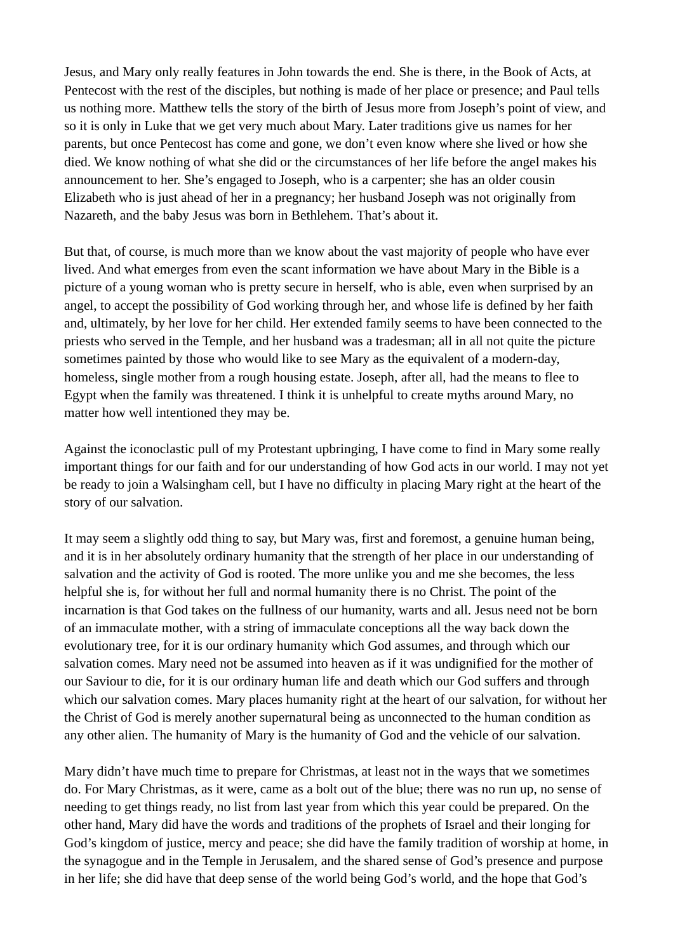Jesus, and Mary only really features in John towards the end. She is there, in the Book of Acts, at Pentecost with the rest of the disciples, but nothing is made of her place or presence; and Paul tells us nothing more. Matthew tells the story of the birth of Jesus more from Joseph's point of view, and so it is only in Luke that we get very much about Mary. Later traditions give us names for her parents, but once Pentecost has come and gone, we don't even know where she lived or how she died. We know nothing of what she did or the circumstances of her life before the angel makes his announcement to her. She's engaged to Joseph, who is a carpenter; she has an older cousin Elizabeth who is just ahead of her in a pregnancy; her husband Joseph was not originally from Nazareth, and the baby Jesus was born in Bethlehem. That's about it.

But that, of course, is much more than we know about the vast majority of people who have ever lived. And what emerges from even the scant information we have about Mary in the Bible is a picture of a young woman who is pretty secure in herself, who is able, even when surprised by an angel, to accept the possibility of God working through her, and whose life is defined by her faith and, ultimately, by her love for her child. Her extended family seems to have been connected to the priests who served in the Temple, and her husband was a tradesman; all in all not quite the picture sometimes painted by those who would like to see Mary as the equivalent of a modern-day, homeless, single mother from a rough housing estate. Joseph, after all, had the means to flee to Egypt when the family was threatened. I think it is unhelpful to create myths around Mary, no matter how well intentioned they may be.

Against the iconoclastic pull of my Protestant upbringing, I have come to find in Mary some really important things for our faith and for our understanding of how God acts in our world. I may not yet be ready to join a Walsingham cell, but I have no difficulty in placing Mary right at the heart of the story of our salvation.

It may seem a slightly odd thing to say, but Mary was, first and foremost, a genuine human being, and it is in her absolutely ordinary humanity that the strength of her place in our understanding of salvation and the activity of God is rooted. The more unlike you and me she becomes, the less helpful she is, for without her full and normal humanity there is no Christ. The point of the incarnation is that God takes on the fullness of our humanity, warts and all. Jesus need not be born of an immaculate mother, with a string of immaculate conceptions all the way back down the evolutionary tree, for it is our ordinary humanity which God assumes, and through which our salvation comes. Mary need not be assumed into heaven as if it was undignified for the mother of our Saviour to die, for it is our ordinary human life and death which our God suffers and through which our salvation comes. Mary places humanity right at the heart of our salvation, for without her the Christ of God is merely another supernatural being as unconnected to the human condition as any other alien. The humanity of Mary is the humanity of God and the vehicle of our salvation.

Mary didn't have much time to prepare for Christmas, at least not in the ways that we sometimes do. For Mary Christmas, as it were, came as a bolt out of the blue; there was no run up, no sense of needing to get things ready, no list from last year from which this year could be prepared. On the other hand, Mary did have the words and traditions of the prophets of Israel and their longing for God's kingdom of justice, mercy and peace; she did have the family tradition of worship at home, in the synagogue and in the Temple in Jerusalem, and the shared sense of God's presence and purpose in her life; she did have that deep sense of the world being God's world, and the hope that God's